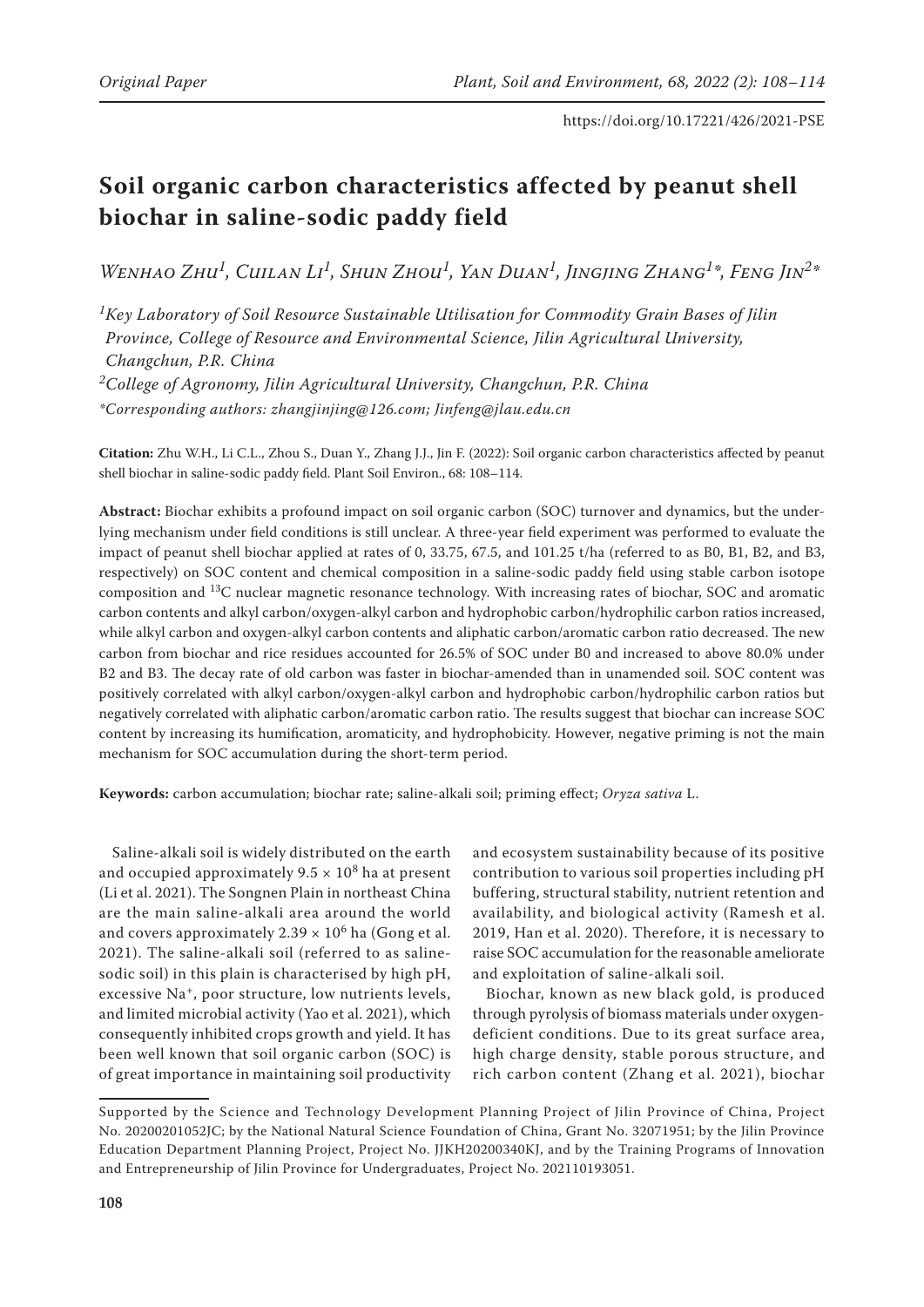# **Soil organic carbon characteristics affected by peanut shell biochar in saline-sodic paddy field**

*Wenhao Zhu1, Cuilan Li1, Shun Zhou1, Yan Duan1, Jingjing Zhang1\*, Feng Jin2\**

*1Key Laboratory of Soil Resource Sustainable Utilisation for Commodity Grain Bases of Jilin Province, College of Resource and Environmental Science, Jilin Agricultural University, Changchun, P.R. China 2College of Agronomy, Jilin Agricultural University, Changchun, P.R. China*

*\*Corresponding authors: zhangjinjing@126.com; Jinfeng@jlau.edu.cn*

**Citation:** Zhu W.H., Li C.L., Zhou S., Duan Y., Zhang J.J., Jin F. (2022): Soil organic carbon characteristics affected by peanut shell biochar in saline-sodic paddy field. Plant Soil Environ., 68: 108–114.

**Abstract:** Biochar exhibits a profound impact on soil organic carbon (SOC) turnover and dynamics, but the underlying mechanism under field conditions is still unclear. A three-year field experiment was performed to evaluate the impact of peanut shell biochar applied at rates of 0, 33.75, 67.5, and 101.25 t/ha (referred to as B0, B1, B2, and B3, respectively) on SOC content and chemical composition in a saline-sodic paddy field using stable carbon isotope composition and 13C nuclear magnetic resonance technology. With increasing rates of biochar, SOC and aromatic carbon contents and alkyl carbon/oxygen-alkyl carbon and hydrophobic carbon/hydrophilic carbon ratios increased, while alkyl carbon and oxygen-alkyl carbon contents and aliphatic carbon/aromatic carbon ratio decreased. The new carbon from biochar and rice residues accounted for 26.5% of SOC under B0 and increased to above 80.0% under B2 and B3. The decay rate of old carbon was faster in biochar-amended than in unamended soil. SOC content was positively correlated with alkyl carbon/oxygen-alkyl carbon and hydrophobic carbon/hydrophilic carbon ratios but negatively correlated with aliphatic carbon/aromatic carbon ratio. The results suggest that biochar can increase SOC content by increasing its humification, aromaticity, and hydrophobicity. However, negative priming is not the main mechanism for SOC accumulation during the short-term period.

**Keywords:** carbon accumulation; biochar rate; saline-alkali soil; priming effect; *Oryza sativa* L.

Saline-alkali soil is widely distributed on the earth and occupied approximately  $9.5 \times 10^8$  ha at present (Li et al. 2021). The Songnen Plain in northeast China are the main saline-alkali area around the world and covers approximately  $2.39 \times 10^6$  ha (Gong et al. 2021). The saline-alkali soil (referred to as salinesodic soil) in this plain is characterised by high pH, excessive Na<sup>+</sup>, poor structure, low nutrients levels, and limited microbial activity (Yao et al. 2021), which consequently inhibited crops growth and yield. It has been well known that soil organic carbon (SOC) is of great importance in maintaining soil productivity

and ecosystem sustainability because of its positive contribution to various soil properties including pH buffering, structural stability, nutrient retention and availability, and biological activity (Ramesh et al. 2019, Han et al. 2020). Therefore, it is necessary to raise SOC accumulation for the reasonable ameliorate and exploitation of saline-alkali soil.

Biochar, known as new black gold, is produced through pyrolysis of biomass materials under oxygendeficient conditions. Due to its great surface area, high charge density, stable porous structure, and rich carbon content (Zhang et al. 2021), biochar

Supported by the Science and Technology Development Planning Project of Jilin Province of China, Project No. 20200201052JC; by the National Natural Science Foundation of China, Grant No. 32071951; by the Jilin Province Education Department Planning Project, Project No. JJKH20200340KJ, and by the Training Programs of Innovation and Entrepreneurship of Jilin Province for Undergraduates, Project No. 202110193051.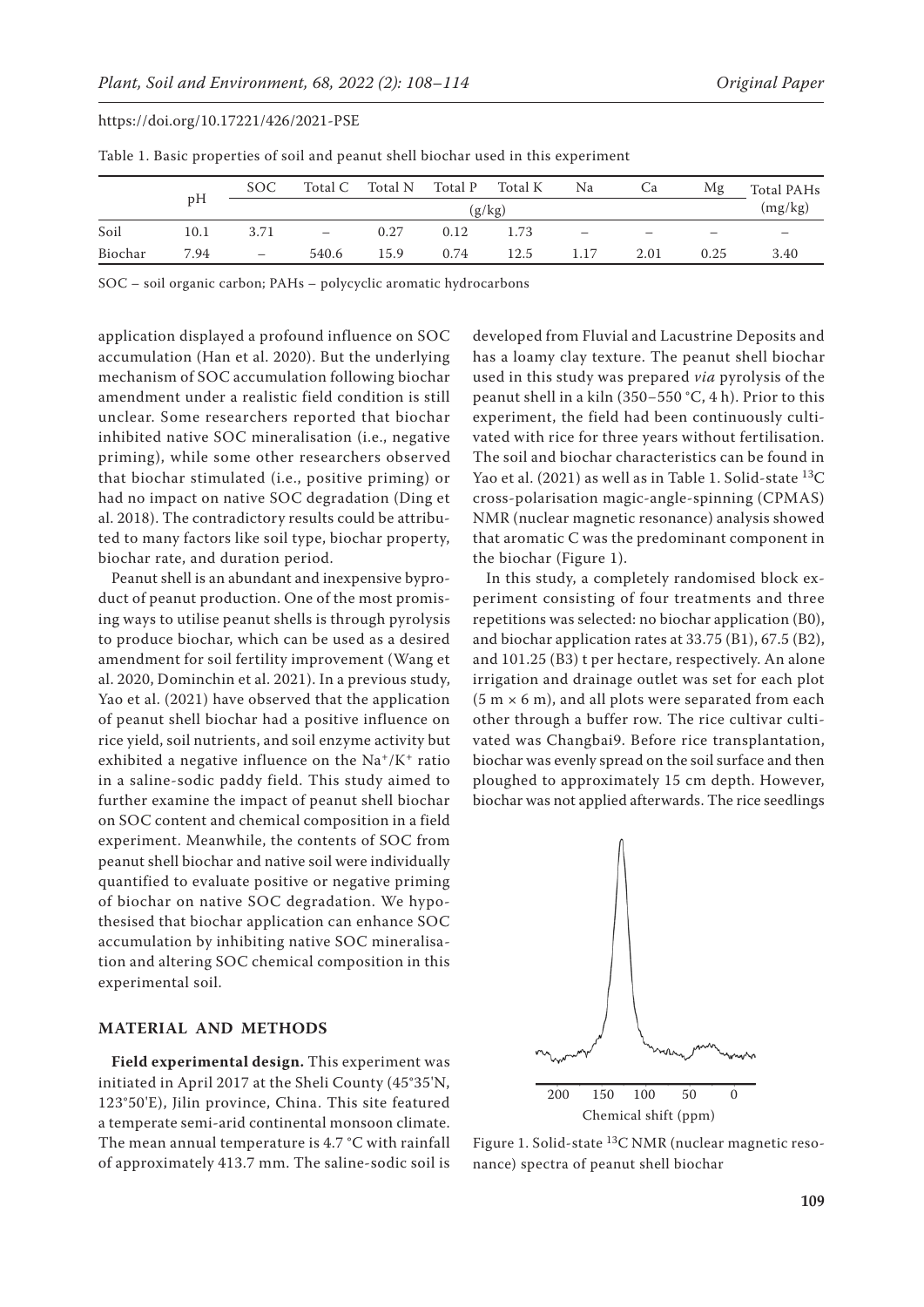|         | pH   | SOC                      |                          | Total C Total N | Total P      Total K |      | Na                       | Ca   | Mg   | <b>Total PAHs</b> |
|---------|------|--------------------------|--------------------------|-----------------|----------------------|------|--------------------------|------|------|-------------------|
|         |      | (g/kg)                   |                          |                 |                      |      |                          |      |      | (mg/kg)           |
| Soil    | 10.1 | 3.71                     | $\overline{\phantom{m}}$ | 0.27            | 0.12                 | 1.73 | $\overline{\phantom{0}}$ |      |      |                   |
| Biochar | 7.94 | $\overline{\phantom{m}}$ | 540.6                    | 15.9            | 0.74                 | 12.5 | 1.17                     | 2.01 | 0.25 | 3.40              |

Table 1. Basic properties of soil and peanut shell biochar used in this experiment

SOC – soil organic carbon; PAHs – polycyclic aromatic hydrocarbons

application displayed a profound influence on SOC accumulation (Han et al. 2020). But the underlying mechanism of SOC accumulation following biochar amendment under a realistic field condition is still unclear. Some researchers reported that biochar inhibited native SOC mineralisation (i.e., negative priming), while some other researchers observed that biochar stimulated (i.e., positive priming) or had no impact on native SOC degradation (Ding et al. 2018). The contradictory results could be attributed to many factors like soil type, biochar property, biochar rate, and duration period.

Peanut shell is an abundant and inexpensive byproduct of peanut production. One of the most promising ways to utilise peanut shells is through pyrolysis to produce biochar, which can be used as a desired amendment for soil fertility improvement (Wang et al. 2020, Dominchin et al. 2021). In a previous study, Yao et al. (2021) have observed that the application of peanut shell biochar had a positive influence on rice yield, soil nutrients, and soil enzyme activity but exhibited a negative influence on the  $Na^+/K^+$  ratio in a saline-sodic paddy field. This study aimed to further examine the impact of peanut shell biochar on SOC content and chemical composition in a field experiment. Meanwhile, the contents of SOC from peanut shell biochar and native soil were individually quantified to evaluate positive or negative priming of biochar on native SOC degradation. We hypothesised that biochar application can enhance SOC accumulation by inhibiting native SOC mineralisation and altering SOC chemical composition in this experimental soil.

# **MATERIAL AND METHODS**

**Field experimental design.** This experiment was initiated in April 2017 at the Sheli County (45°35'N, 123°50'E), Jilin province, China. This site featured a temperate semi-arid continental monsoon climate. The mean annual temperature is 4.7 °C with rainfall of approximately 413.7 mm. The saline-sodic soil is

developed from Fluvial and Lacustrine Deposits and has a loamy clay texture. The peanut shell biochar used in this study was prepared *via* pyrolysis of the peanut shell in a kiln (350−550 °C, 4 h). Prior to this experiment, the field had been continuously cultivated with rice for three years without fertilisation. The soil and biochar characteristics can be found in Yao et al. (2021) as well as in Table 1. Solid-state  $^{13}C$ cross-polarisation magic-angle-spinning (CPMAS) NMR (nuclear magnetic resonance) analysis showed that aromatic C was the predominant component in the biochar (Figure 1).

In this study, a completely randomised block experiment consisting of four treatments and three repetitions was selected: no biochar application (B0), and biochar application rates at 33.75 (B1), 67.5 (B2), and 101.25 (B3) t per hectare, respectively. An alone irrigation and drainage outlet was set for each plot  $(5 m \times 6 m)$ , and all plots were separated from each other through a buffer row. The rice cultivar cultivated was Changbai9. Before rice transplantation, biochar was evenly spread on the soil surface and then ploughed to approximately 15 cm depth. However, biochar was not applied afterwards. The rice seedlings



Figure 1. Solid-state 13C NMR (nuclear magnetic resonance) spectra of peanut shell biochar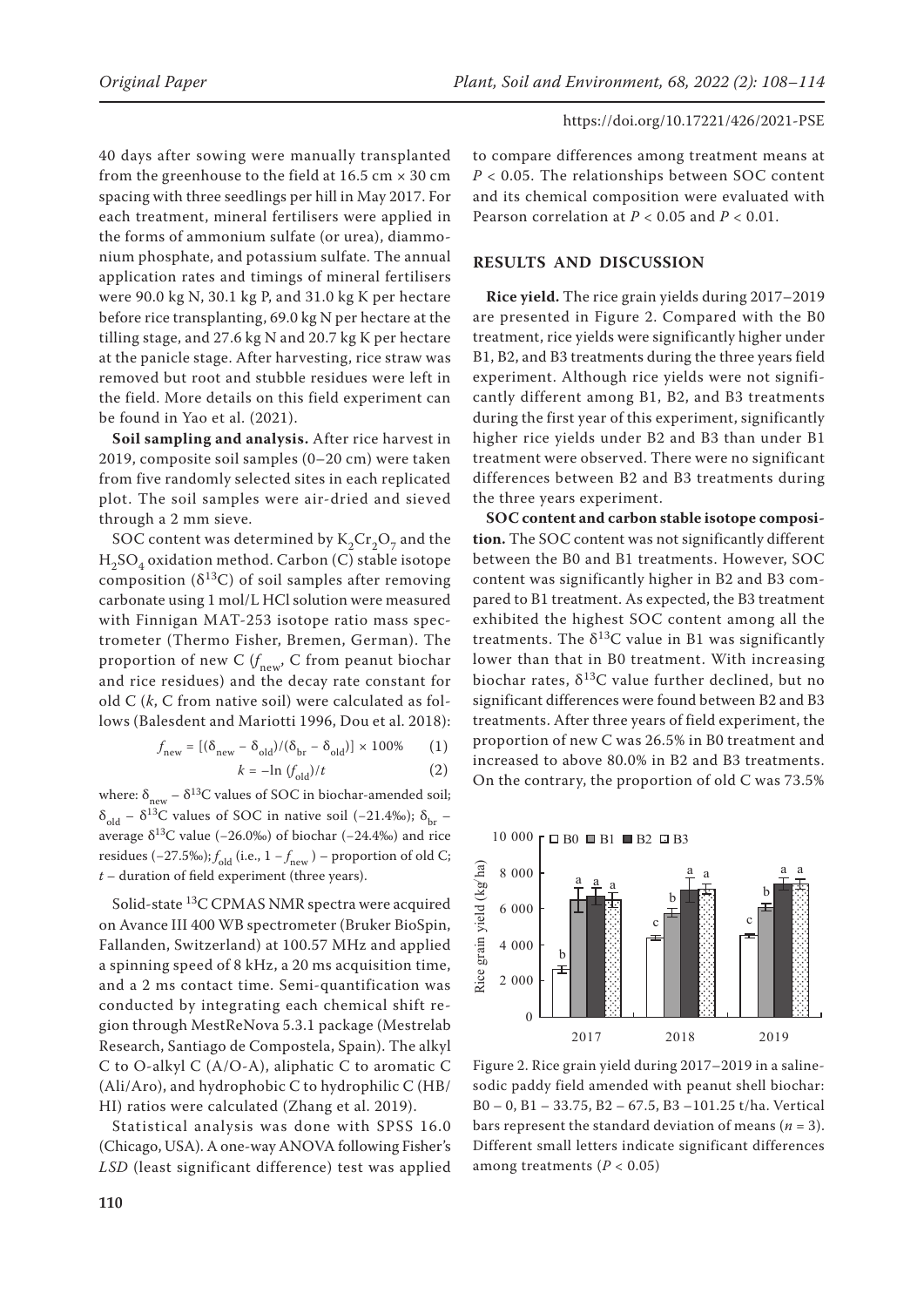40 days after sowing were manually transplanted from the greenhouse to the field at  $16.5 \text{ cm} \times 30 \text{ cm}$ spacing with three seedlings per hill in May 2017. For each treatment, mineral fertilisers were applied in the forms of ammonium sulfate (or urea), diammonium phosphate, and potassium sulfate. The annual application rates and timings of mineral fertilisers were 90.0 kg N, 30.1 kg P, and 31.0 kg K per hectare before rice transplanting, 69.0 kg N per hectare at the tilling stage, and 27.6 kg N and 20.7 kg K per hectare at the panicle stage. After harvesting, rice straw was removed but root and stubble residues were left in the field. More details on this field experiment can be found in Yao et al. (2021).

**Soil sampling and analysis.** After rice harvest in 2019, composite soil samples (0–20 cm) were taken from five randomly selected sites in each replicated plot. The soil samples were air-dried and sieved through a 2 mm sieve.

SOC content was determined by  $K_2Cr_2O_7$  and the  $\mathrm{H}_2\mathrm{SO}_4$ oxidation method. Carbon (C) stable isotope composition ( $\delta^{13}$ C) of soil samples after removing carbonate using 1 mol/L HCl solution were measured with Finnigan MAT-253 isotope ratio mass spectrometer (Thermo Fisher, Bremen, German). The proportion of new C (*f* new, C from peanut biochar and rice residues) and the decay rate constant for old C (*k*, C from native soil) were calculated as follows (Balesdent and Mariotti 1996, Dou et al. 2018):

$$
f_{\text{new}} = [(\delta_{\text{new}} - \delta_{\text{old}})/(\delta_{\text{br}} - \delta_{\text{old}})] \times 100\% \tag{1}
$$

$$
k = -\ln \left( f_{\text{old}} \right) / t \tag{2}
$$

where:  $\delta_{\text{new}} - \delta^{13}C$  values of SOC in biochar-amended soil; δ<sub>old</sub> – δ<sup>13</sup>C values of SOC in native soil (−21.4‰); δ<sub>br</sub> – average  $\delta^{13}$ C value (−26.0‰) of biochar (−24.4‰) and rice residues (−27.5‰);  $f_{old}$  (i.e., 1 −  $f_{new}$ ) − proportion of old C; *t* – duration of field experiment (three years).

Solid-state 13C CPMAS NMR spectra were acquired on Avance III 400 WB spectrometer (Bruker BioSpin, Fallanden, Switzerland) at 100.57 MHz and applied a spinning speed of 8 kHz, a 20 ms acquisition time, and a 2 ms contact time. Semi-quantification was conducted by integrating each chemical shift region through MestReNova 5.3.1 package (Mestrelab Research, Santiago de Compostela, Spain). The alkyl C to O-alkyl C (A/O-A), aliphatic C to aromatic C (Ali/Aro), and hydrophobic C to hydrophilic C (HB/ HI) ratios were calculated (Zhang et al. 2019).

Statistical analysis was done with SPSS 16.0 (Chicago, USA). A one-way ANOVA following Fisher's *LSD* (least significant difference) test was applied

to compare differences among treatment means at *P* < 0.05. The relationships between SOC content and its chemical composition were evaluated with Pearson correlation at *P* < 0.05 and *P* < 0.01.

# **RESULTS AND DISCUSSION**

**Rice yield.** The rice grain yields during 2017–2019 are presented in Figure 2. Compared with the B0 treatment, rice yields were significantly higher under B1, B2, and B3 treatments during the three years field experiment. Although rice yields were not significantly different among B1, B2, and B3 treatments during the first year of this experiment, significantly higher rice yields under B2 and B3 than under B1 treatment were observed. There were no significant differences between B2 and B3 treatments during the three years experiment.

**SOC content and carbon stable isotope composition.** The SOC content was not significantly different between the B0 and B1 treatments. However, SOC content was significantly higher in B2 and B3 compared to B1 treatment. As expected, the B3 treatment exhibited the highest SOC content among all the treatments. The  $\delta^{13}$ C value in B1 was significantly lower than that in B0 treatment. With increasing biochar rates,  $\delta^{13}$ C value further declined, but no significant differences were found between B2 and B3 treatments. After three years of field experiment, the proportion of new C was 26.5% in B0 treatment and increased to above 80.0% in B2 and B3 treatments. On the contrary, the proportion of old C was 73.5%



Figure 2. Rice grain yield during 2017-2019 in a salinesodic paddy field amended with peanut shell biochar: B0 – 0, B1 – 33.75, B2 – 67.5, B3 –101.25 t/ha. Vertical bars represent the standard deviation of means (*n* = 3). Different small letters indicate significant differences among treatments  $(P < 0.05)$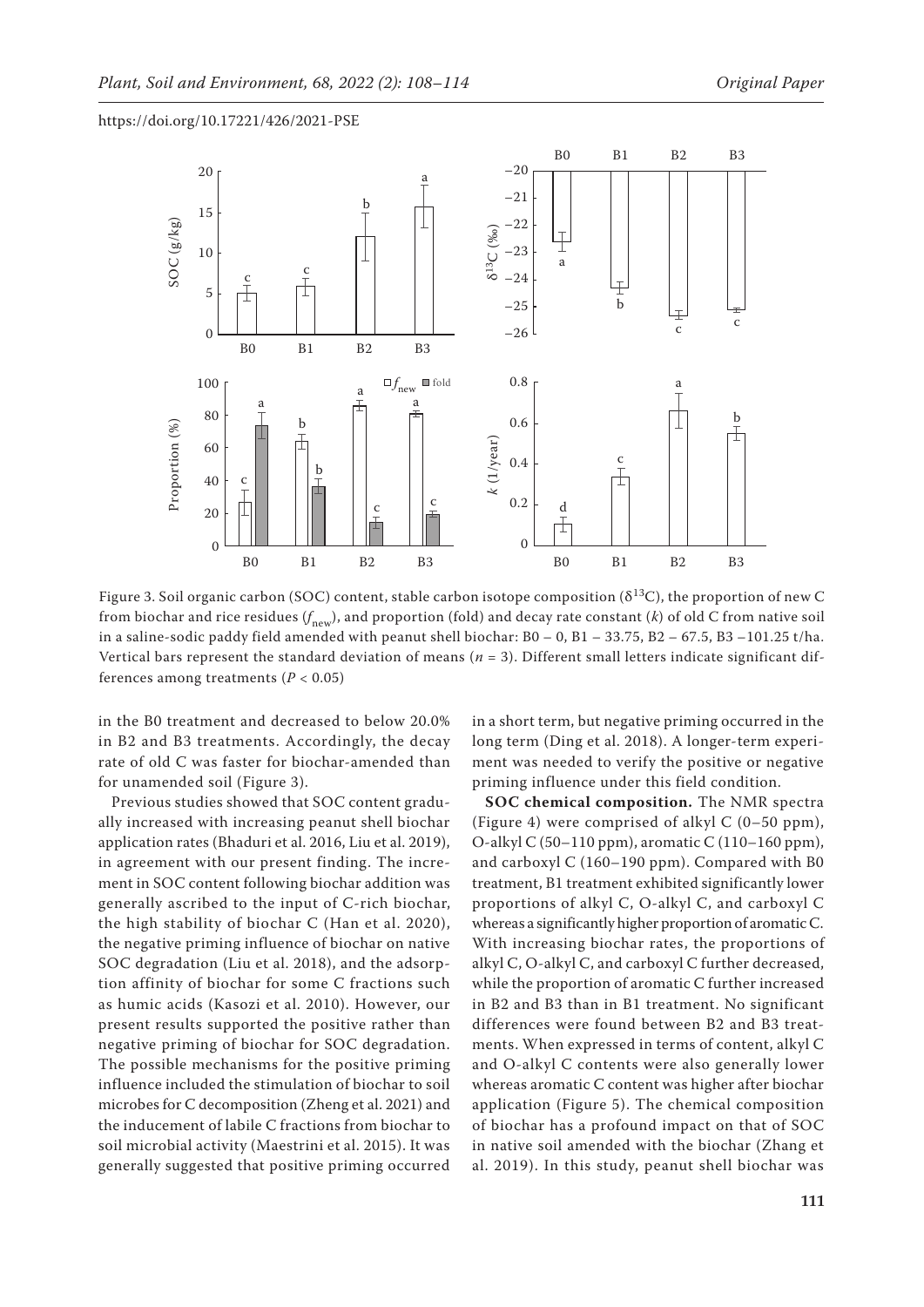

Figure 3. Soil organic carbon (SOC) content, stable carbon isotope composition ( $\delta^{13}$ C), the proportion of new C from biochar and rice residues ( $f_{\rm{new}}$ ), and proportion (fold) and decay rate constant (*k*) of old C from native soil in a saline-sodic paddy field amended with peanut shell biochar:  $B0 - 0$ ,  $B1 - 33.75$ ,  $B2 - 67.5$ ,  $B3 - 101.25$  t/ha. Vertical bars represent the standard deviation of means (*n* = 3). Different small letters indicate significant differences among treatments  $(P < 0.05)$ 

in the B0 treatment and decreased to below 20.0% in B2 and B3 treatments. Accordingly, the decay rate of old C was faster for biochar-amended than for unamended soil (Figure 3).

Previous studies showed that SOC content gradually increased with increasing peanut shell biochar application rates (Bhaduri et al. 2016, Liu et al. 2019), in agreement with our present finding. The increment in SOC content following biochar addition was generally ascribed to the input of C-rich biochar, the high stability of biochar C (Han et al. 2020), the negative priming influence of biochar on native SOC degradation (Liu et al. 2018), and the adsorption affinity of biochar for some C fractions such as humic acids (Kasozi et al. 2010). However, our present results supported the positive rather than negative priming of biochar for SOC degradation. The possible mechanisms for the positive priming influence included the stimulation of biochar to soil microbes for C decomposition (Zheng et al. 2021) and the inducement of labile C fractions from biochar to soil microbial activity (Maestrini et al. 2015). It was generally suggested that positive priming occurred in a short term, but negative priming occurred in the long term (Ding et al. 2018). A longer-term experiment was needed to verify the positive or negative priming influence under this field condition.

**SOC chemical composition.** The NMR spectra (Figure 4) were comprised of alkyl C (0–50 ppm), O-alkyl C (50–110 ppm), aromatic C (110–160 ppm), and carboxyl C (160–190 ppm). Compared with B0 treatment, B1 treatment exhibited significantly lower proportions of alkyl C, O-alkyl C, and carboxyl C whereas a significantly higher proportion of aromatic C. With increasing biochar rates, the proportions of alkyl C, O-alkyl C, and carboxyl C further decreased, while the proportion of aromatic C further increased in B2 and B3 than in B1 treatment. No significant differences were found between B2 and B3 treatments. When expressed in terms of content, alkyl C and O-alkyl C contents were also generally lower whereas aromatic C content was higher after biochar application (Figure 5). The chemical composition of biochar has a profound impact on that of SOC in native soil amended with the biochar (Zhang et al. 2019). In this study, peanut shell biochar was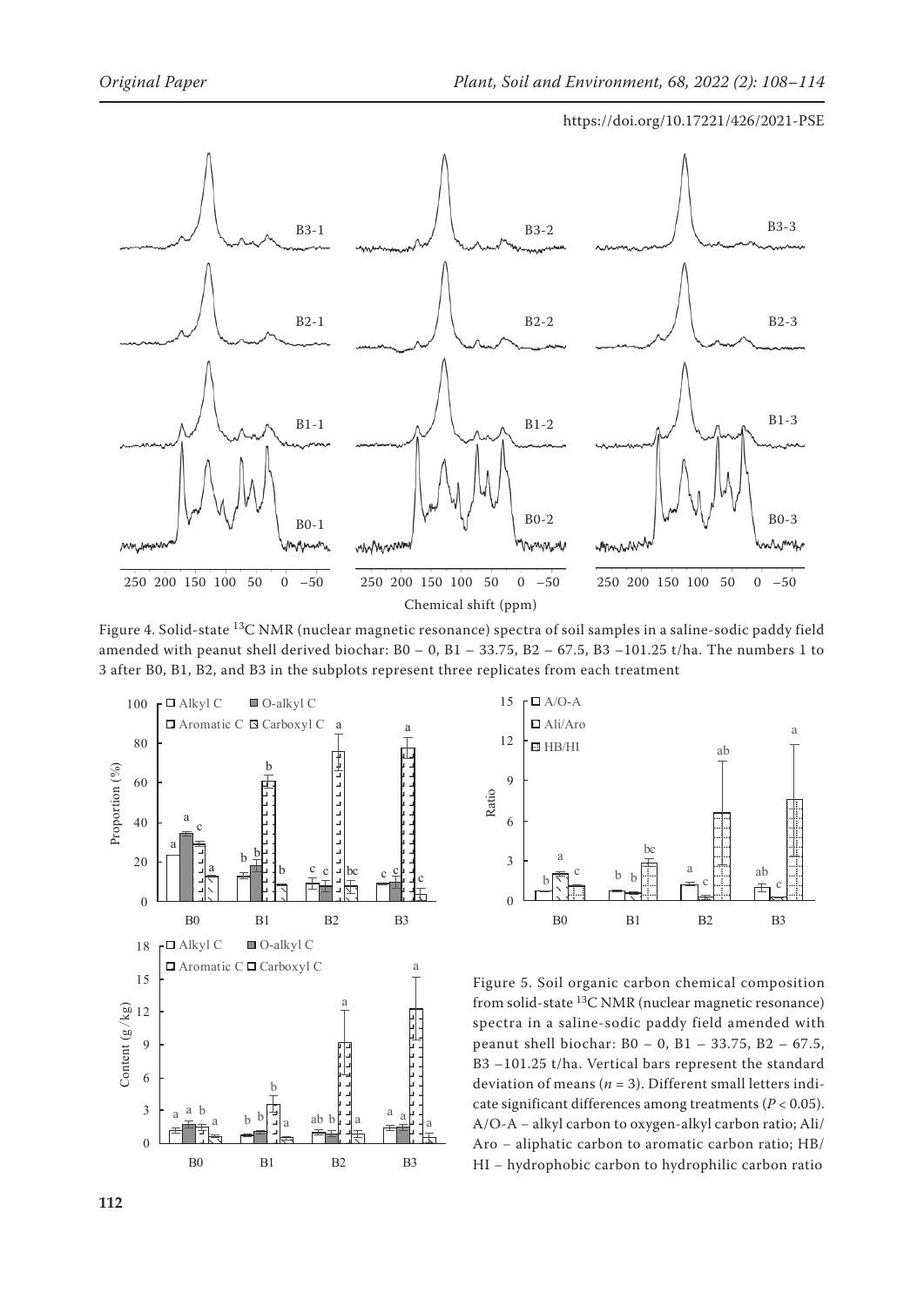

المستعملة المستعملة المسابقة المسابقة المسابقة المسابقة المسابقة المسابقة المسابقة المسابقة المسابقة المسابقة<br>Did-state <sup>13</sup>C NMR (nuclear magnetic resonance) spectra of soil samples in a saline-sodic paddy 0 amended with peanut shell derived biochar: B0 – 0, B1 – 33.75, B2 – 67.5, B3 –101.25 t/ha. The numbers 1 to 3 after B0, B1, B2, and B3 in the subplots represent three replicates from each treatment Figure 4. Solid-state <sup>13</sup>C NMR (nuclear magnetic resonance) spectra of soil samples in a saline-sodic paddy field





Figure 5. Soil organic carbon chemical composition from solid-state 13C NMR (nuclear magnetic resonance) spectra in a saline-sodic paddy field amended with peanut shell biochar: B0 – 0, B1 – 33.75, B2 – 67.5, B3 –101.25 t/ha. Vertical bars represent the standard deviation of means ( $n = 3$ ). Different small letters indicate significant differences among treatments (*P* < 0.05). A/O-A − alkyl carbon to oxygen-alkyl carbon ratio; Ali/ Aro − aliphatic carbon to aromatic carbon ratio; HB/ HI – hydrophobic carbon to hydrophilic carbon ratio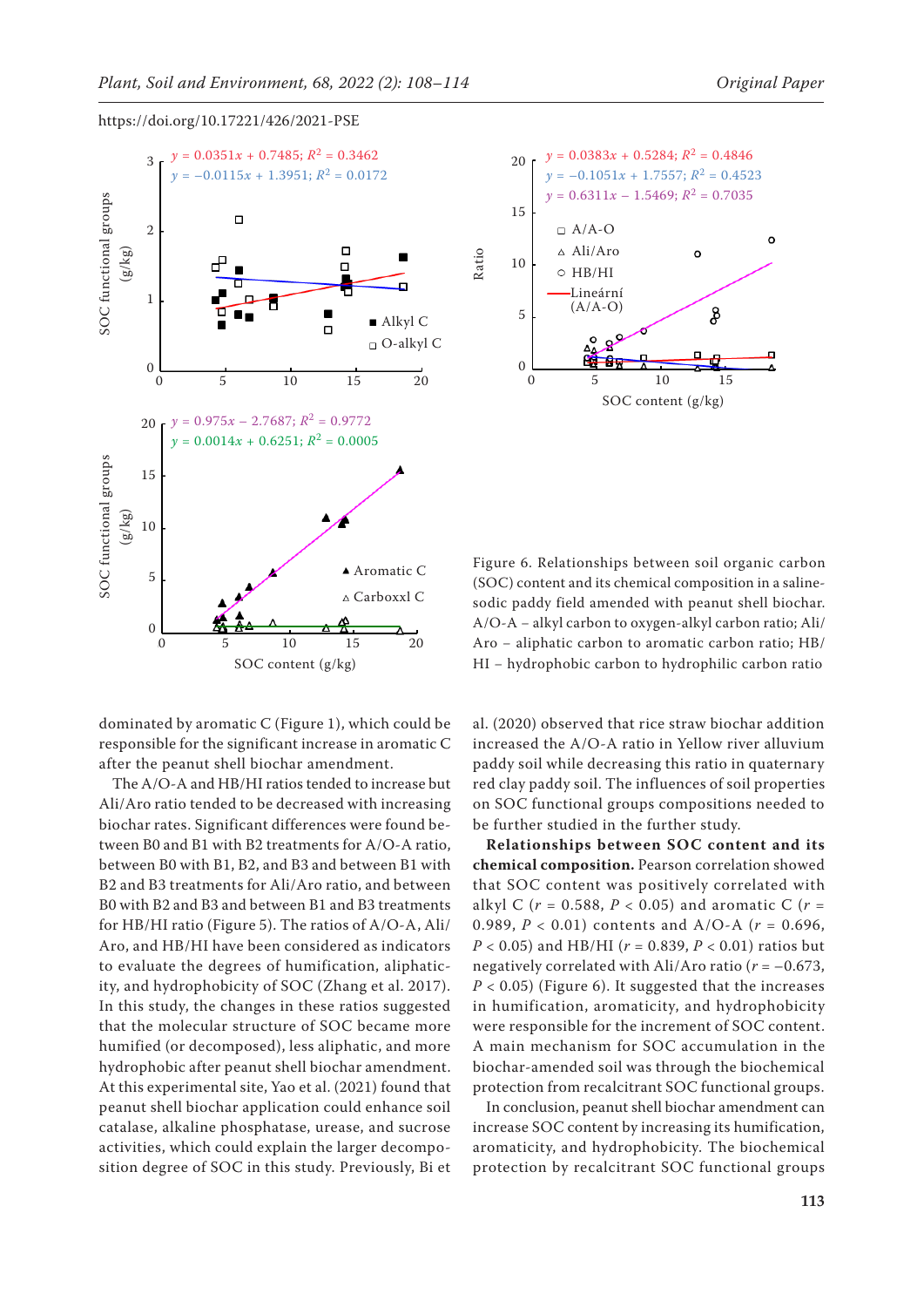

dominated by aromatic C (Figure 1), which could be responsible for the significant increase in aromatic C after the peanut shell biochar amendment.

The A/O-A and HB/HI ratios tended to increase but Ali/Aro ratio tended to be decreased with increasing biochar rates. Significant differences were found between B0 and B1 with B2 treatments for A/O-A ratio, between B0 with B1, B2, and B3 and between B1 with B2 and B3 treatments for Ali/Aro ratio, and between B0 with B2 and B3 and between B1 and B3 treatments for HB/HI ratio (Figure 5). The ratios of A/O-A, Ali/ Aro, and HB/HI have been considered as indicators to evaluate the degrees of humification, aliphaticity, and hydrophobicity of SOC (Zhang et al. 2017). In this study, the changes in these ratios suggested that the molecular structure of SOC became more humified (or decomposed), less aliphatic, and more hydrophobic after peanut shell biochar amendment. At this experimental site, Yao et al. (2021) found that peanut shell biochar application could enhance soil catalase, alkaline phosphatase, urease, and sucrose activities, which could explain the larger decomposition degree of SOC in this study. Previously, Bi et



Figure 6. Relationships between soil organic carbon (SOC) content and its chemical composition in a salinesodic paddy field amended with peanut shell biochar. A/O-A − alkyl carbon to oxygen-alkyl carbon ratio; Ali/ Aro − aliphatic carbon to aromatic carbon ratio; HB/ HI – hydrophobic carbon to hydrophilic carbon ratio

al. (2020) observed that rice straw biochar addition increased the A/O-A ratio in Yellow river alluvium paddy soil while decreasing this ratio in quaternary red clay paddy soil. The influences of soil properties on SOC functional groups compositions needed to be further studied in the further study.

**Relationships between SOC content and its chemical composition.** Pearson correlation showed that SOC content was positively correlated with alkyl C (*r* = 0.588, *P* < 0.05) and aromatic C (*r* = 0.989, *P* < 0.01) contents and A/O-A (*r* = 0.696, *P* < 0.05) and HB/HI (*r* = 0.839, *P* < 0.01) ratios but negatively correlated with Ali/Aro ratio  $(r = -0.673,$  $P < 0.05$ ) (Figure 6). It suggested that the increases in humification, aromaticity, and hydrophobicity were responsible for the increment of SOC content. A main mechanism for SOC accumulation in the biochar-amended soil was through the biochemical protection from recalcitrant SOC functional groups.

In conclusion, peanut shell biochar amendment can increase SOC content by increasing its humification, aromaticity, and hydrophobicity. The biochemical protection by recalcitrant SOC functional groups